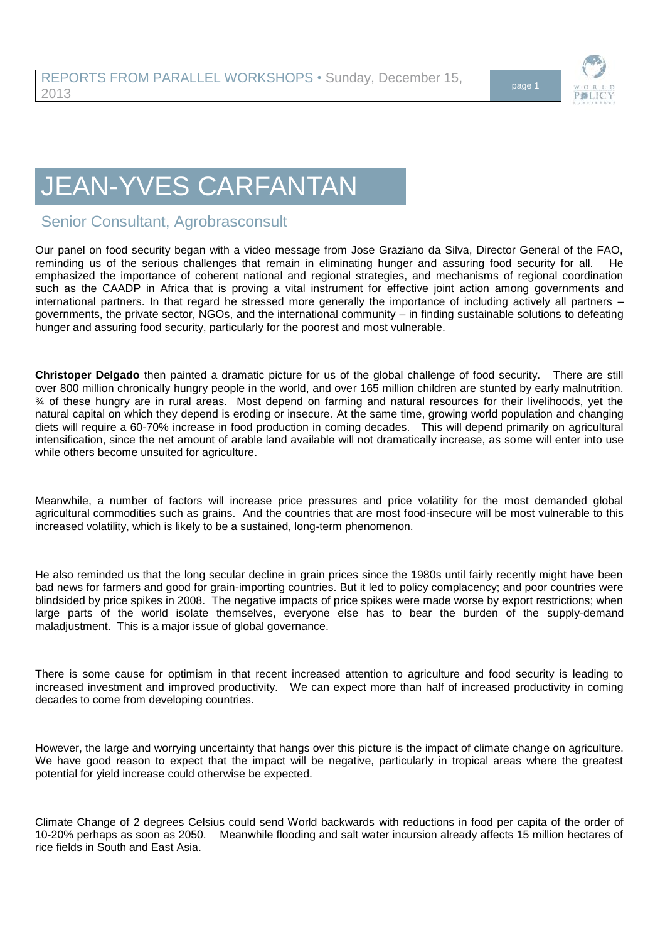

## JEAN-YVES CARFANTAN

## Senior Consultant, Agrobrasconsult

Our panel on food security began with a video message from Jose Graziano da Silva, Director General of the FAO, reminding us of the serious challenges that remain in eliminating hunger and assuring food security for all. He emphasized the importance of coherent national and regional strategies, and mechanisms of regional coordination such as the CAADP in Africa that is proving a vital instrument for effective joint action among governments and international partners. In that regard he stressed more generally the importance of including actively all partners – governments, the private sector, NGOs, and the international community – in finding sustainable solutions to defeating hunger and assuring food security, particularly for the poorest and most vulnerable.

**Christoper Delgado** then painted a dramatic picture for us of the global challenge of food security. There are still over 800 million chronically hungry people in the world, and over 165 million children are stunted by early malnutrition. ¾ of these hungry are in rural areas. Most depend on farming and natural resources for their livelihoods, yet the natural capital on which they depend is eroding or insecure. At the same time, growing world population and changing diets will require a 60-70% increase in food production in coming decades. This will depend primarily on agricultural intensification, since the net amount of arable land available will not dramatically increase, as some will enter into use while others become unsuited for agriculture.

Meanwhile, a number of factors will increase price pressures and price volatility for the most demanded global agricultural commodities such as grains. And the countries that are most food-insecure will be most vulnerable to this increased volatility, which is likely to be a sustained, long-term phenomenon.

He also reminded us that the long secular decline in grain prices since the 1980s until fairly recently might have been bad news for farmers and good for grain-importing countries. But it led to policy complacency; and poor countries were blindsided by price spikes in 2008. The negative impacts of price spikes were made worse by export restrictions; when large parts of the world isolate themselves, everyone else has to bear the burden of the supply-demand maladjustment. This is a major issue of global governance.

There is some cause for optimism in that recent increased attention to agriculture and food security is leading to increased investment and improved productivity. We can expect more than half of increased productivity in coming decades to come from developing countries.

However, the large and worrying uncertainty that hangs over this picture is the impact of climate change on agriculture. We have good reason to expect that the impact will be negative, particularly in tropical areas where the greatest potential for yield increase could otherwise be expected.

Climate Change of 2 degrees Celsius could send World backwards with reductions in food per capita of the order of 10-20% perhaps as soon as 2050. Meanwhile flooding and salt water incursion already affects 15 million hectares of rice fields in South and East Asia.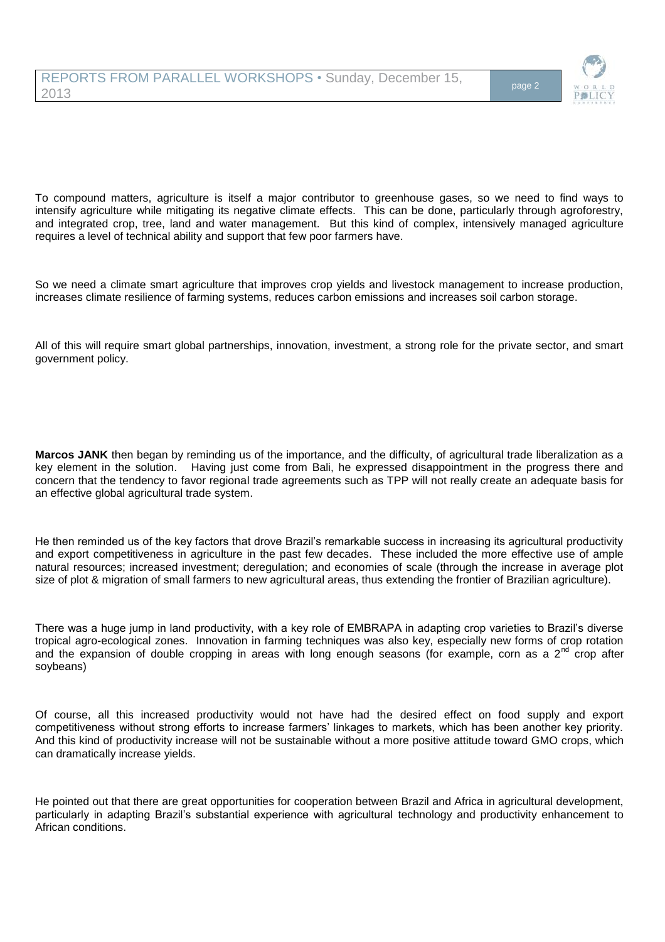

To compound matters, agriculture is itself a major contributor to greenhouse gases, so we need to find ways to intensify agriculture while mitigating its negative climate effects. This can be done, particularly through agroforestry, and integrated crop, tree, land and water management. But this kind of complex, intensively managed agriculture requires a level of technical ability and support that few poor farmers have.

So we need a climate smart agriculture that improves crop yields and livestock management to increase production, increases climate resilience of farming systems, reduces carbon emissions and increases soil carbon storage.

All of this will require smart global partnerships, innovation, investment, a strong role for the private sector, and smart government policy.

**Marcos JANK** then began by reminding us of the importance, and the difficulty, of agricultural trade liberalization as a key element in the solution. Having just come from Bali, he expressed disappointment in the progress there and concern that the tendency to favor regional trade agreements such as TPP will not really create an adequate basis for an effective global agricultural trade system.

He then reminded us of the key factors that drove Brazil's remarkable success in increasing its agricultural productivity and export competitiveness in agriculture in the past few decades. These included the more effective use of ample natural resources; increased investment; deregulation; and economies of scale (through the increase in average plot size of plot & migration of small farmers to new agricultural areas, thus extending the frontier of Brazilian agriculture).

There was a huge jump in land productivity, with a key role of EMBRAPA in adapting crop varieties to Brazil's diverse tropical agro-ecological zones. Innovation in farming techniques was also key, especially new forms of crop rotation and the expansion of double cropping in areas with long enough seasons (for example, corn as a  $2^{nd}$  crop after soybeans)

Of course, all this increased productivity would not have had the desired effect on food supply and export competitiveness without strong efforts to increase farmers' linkages to markets, which has been another key priority. And this kind of productivity increase will not be sustainable without a more positive attitude toward GMO crops, which can dramatically increase yields.

He pointed out that there are great opportunities for cooperation between Brazil and Africa in agricultural development, particularly in adapting Brazil's substantial experience with agricultural technology and productivity enhancement to African conditions.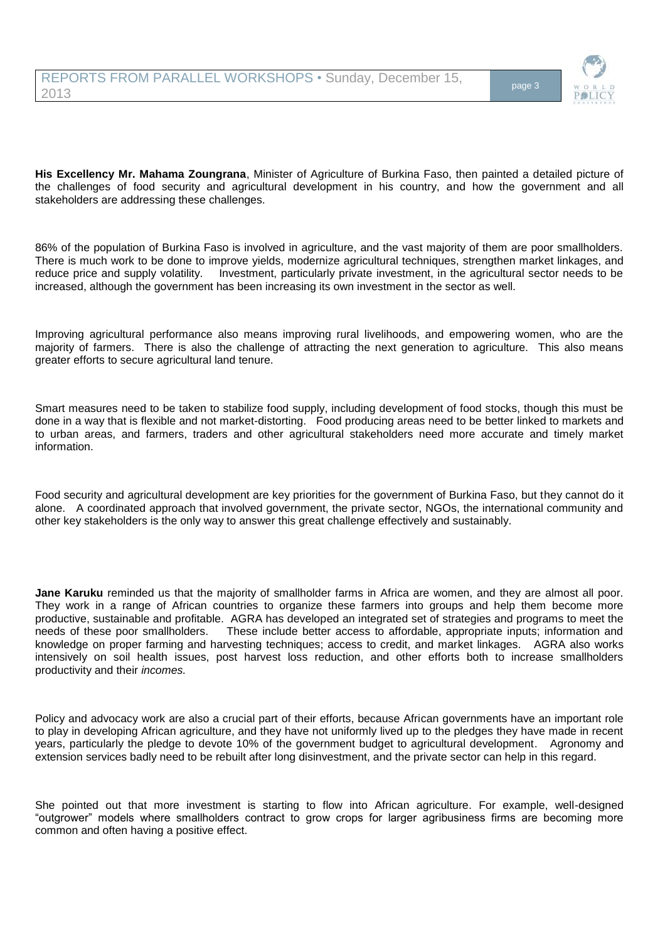**His Excellency Mr. Mahama Zoungrana**, Minister of Agriculture of Burkina Faso, then painted a detailed picture of the challenges of food security and agricultural development in his country, and how the government and all stakeholders are addressing these challenges.

86% of the population of Burkina Faso is involved in agriculture, and the vast majority of them are poor smallholders. There is much work to be done to improve yields, modernize agricultural techniques, strengthen market linkages, and reduce price and supply volatility. Investment, particularly private investment, in the agricultural sector needs to be increased, although the government has been increasing its own investment in the sector as well.

Improving agricultural performance also means improving rural livelihoods, and empowering women, who are the majority of farmers. There is also the challenge of attracting the next generation to agriculture. This also means greater efforts to secure agricultural land tenure.

Smart measures need to be taken to stabilize food supply, including development of food stocks, though this must be done in a way that is flexible and not market-distorting. Food producing areas need to be better linked to markets and to urban areas, and farmers, traders and other agricultural stakeholders need more accurate and timely market information.

Food security and agricultural development are key priorities for the government of Burkina Faso, but they cannot do it alone. A coordinated approach that involved government, the private sector, NGOs, the international community and other key stakeholders is the only way to answer this great challenge effectively and sustainably.

**Jane Karuku** reminded us that the majority of smallholder farms in Africa are women, and they are almost all poor. They work in a range of African countries to organize these farmers into groups and help them become more productive, sustainable and profitable. AGRA has developed an integrated set of strategies and programs to meet the needs of these poor smallholders. These include better access to affordable, appropriate inputs; informati These include better access to affordable, appropriate inputs; information and knowledge on proper farming and harvesting techniques; access to credit, and market linkages. AGRA also works intensively on soil health issues, post harvest loss reduction, and other efforts both to increase smallholders productivity and their *incomes.*

Policy and advocacy work are also a crucial part of their efforts, because African governments have an important role to play in developing African agriculture, and they have not uniformly lived up to the pledges they have made in recent years, particularly the pledge to devote 10% of the government budget to agricultural development. Agronomy and extension services badly need to be rebuilt after long disinvestment, and the private sector can help in this regard.

She pointed out that more investment is starting to flow into African agriculture. For example, well-designed "outgrower" models where smallholders contract to grow crops for larger agribusiness firms are becoming more common and often having a positive effect.